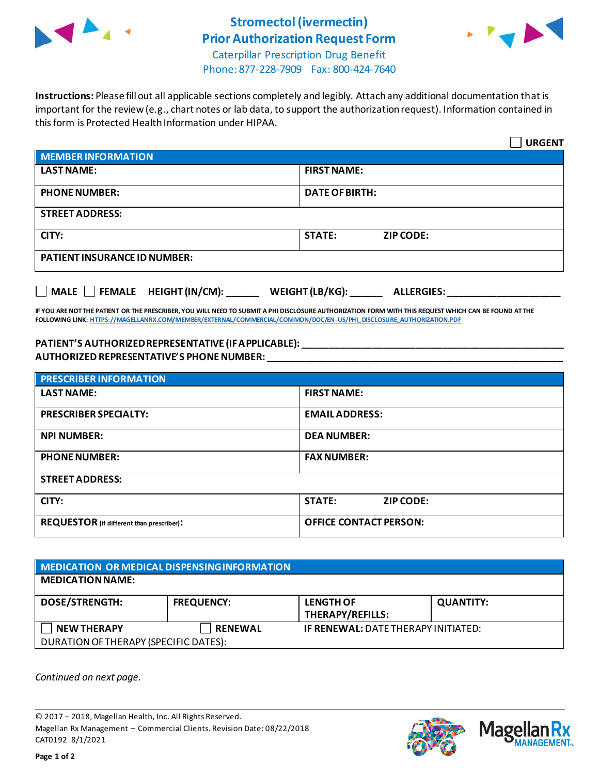

## **Stromectol(ivermectin) Prior Authorization Request Form**



Caterpillar Prescription Drug Benefit Phone: 877-228-7909 Fax: 800-424-7640

**Instructions:** Please fill out all applicable sections completely and legibly. Attach any additional documentation that is important for the review (e.g., chart notes or lab data, to support the authorization request). Information contained in this form is Protected Health Information under HIPAA.

|                                                                                   | <b>URGENT</b>                     |  |  |  |
|-----------------------------------------------------------------------------------|-----------------------------------|--|--|--|
| <b>MEMBER INFORMATION</b>                                                         |                                   |  |  |  |
| <b>LAST NAME:</b>                                                                 | <b>FIRST NAME:</b>                |  |  |  |
| <b>PHONE NUMBER:</b>                                                              | <b>DATE OF BIRTH:</b>             |  |  |  |
| <b>STREET ADDRESS:</b>                                                            |                                   |  |  |  |
| CITY:                                                                             | <b>STATE:</b><br><b>ZIP CODE:</b> |  |  |  |
| <b>PATIENT INSURANCE ID NUMBER:</b>                                               |                                   |  |  |  |
| $\Box$ MALE $\Box$ FEMALE HEIGHT (IN/CM):<br>WEIGHT (LB/KG):<br><b>ALLERGIES:</b> |                                   |  |  |  |

**IF YOU ARE NOT THE PATIENT OR THE PRESCRIBER, YOU WILL NEED TO SUBMIT A PHI DISCLOSURE AUTHORIZATION FORM WITH THIS REQUEST WHICH CAN BE FOUND AT THE FOLLOWING LINK[: HTTPS://MAGELLANRX.COM/MEMBER/EXTERNAL/COMMERCIAL/COMMON/DOC/EN-US/PHI\\_DISCLOSURE\\_AUTHORIZATION.PDF](https://magellanrx.com/member/external/commercial/common/doc/en-us/PHI_Disclosure_Authorization.pdf)**

## **PATIENT'S AUTHORIZED REPRESENTATIVE (IF APPLICABLE): \_\_\_\_\_\_\_\_\_\_\_\_\_\_\_\_\_\_\_\_\_\_\_\_\_\_\_\_\_\_\_\_\_\_\_\_\_\_\_\_\_\_\_\_\_\_\_\_\_ AUTHORIZED REPRESENTATIVE'S PHONE NUMBER: \_\_\_\_\_\_\_\_\_\_\_\_\_\_\_\_\_\_\_\_\_\_\_\_\_\_\_\_\_\_\_\_\_\_\_\_\_\_\_\_\_\_\_\_\_\_\_\_\_\_\_\_\_\_\_**

| <b>PRESCRIBER INFORMATION</b>             |                               |  |
|-------------------------------------------|-------------------------------|--|
| <b>LAST NAME:</b>                         | <b>FIRST NAME:</b>            |  |
| <b>PRESCRIBER SPECIALTY:</b>              | <b>EMAIL ADDRESS:</b>         |  |
| <b>NPI NUMBER:</b>                        | <b>DEA NUMBER:</b>            |  |
| <b>PHONE NUMBER:</b>                      | <b>FAX NUMBER:</b>            |  |
| <b>STREET ADDRESS:</b>                    |                               |  |
| CITY:                                     | <b>STATE:</b><br>ZIP CODE:    |  |
| REQUESTOR (if different than prescriber): | <b>OFFICE CONTACT PERSON:</b> |  |

| MEDICATION OR MEDICAL DISPENSING INFORMATION |                   |                                            |                  |  |  |
|----------------------------------------------|-------------------|--------------------------------------------|------------------|--|--|
| <b>MEDICATION NAME:</b>                      |                   |                                            |                  |  |  |
| <b>DOSE/STRENGTH:</b>                        | <b>FREQUENCY:</b> | <b>LENGTH OF</b><br>THERAPY/REFILLS:       | <b>QUANTITY:</b> |  |  |
| <b>NEW THERAPY</b>                           | <b>RENEWAL</b>    | <b>IF RENEWAL: DATE THERAPY INITIATED:</b> |                  |  |  |
| DURATION OF THERAPY (SPECIFIC DATES):        |                   |                                            |                  |  |  |

*Continued on next page.*

© 2017 – 2018, Magellan Health, Inc. All Rights Reserved. Magellan Rx Management – Commercial Clients. Revision Date: 08/22/2018 CAT0192 8/1/2021